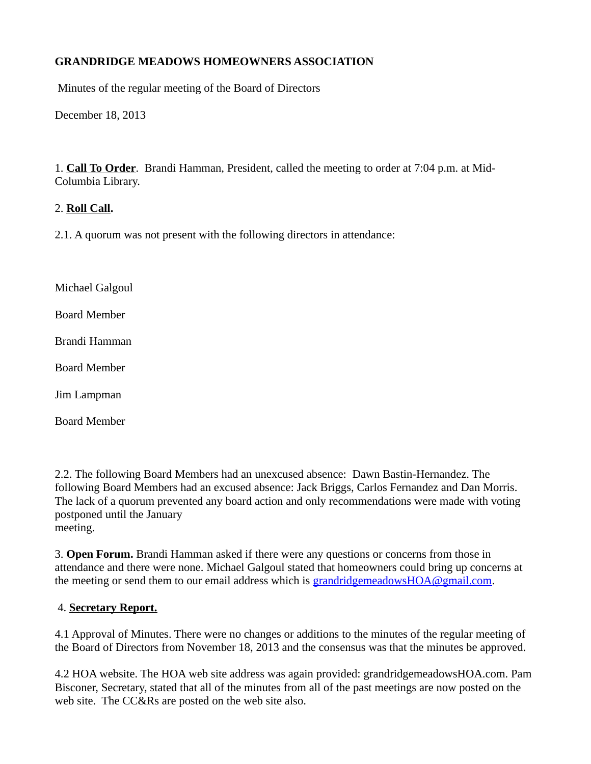# **GRANDRIDGE MEADOWS HOMEOWNERS ASSOCIATION**

Minutes of the regular meeting of the Board of Directors

December 18, 2013

1. **Call To Order**. Brandi Hamman, President, called the meeting to order at 7:04 p.m. at Mid-Columbia Library.

#### 2. **Roll Call.**

2.1. A quorum was not present with the following directors in attendance:

Michael Galgoul

Board Member

Brandi Hamman

Board Member

Jim Lampman

Board Member

2.2. The following Board Members had an unexcused absence: Dawn Bastin-Hernandez. The following Board Members had an excused absence: Jack Briggs, Carlos Fernandez and Dan Morris. The lack of a quorum prevented any board action and only recommendations were made with voting postponed until the January meeting.

3. **Open Forum.** Brandi Hamman asked if there were any questions or concerns from those in attendance and there were none. Michael Galgoul stated that homeowners could bring up concerns at the meeting or send them to our email address which is [grandridgemeadowsHOA@gmail.com.](mailto:grandridgemeadowsHOA@gmail.com)

#### 4. **Secretary Report.**

4.1 Approval of Minutes. There were no changes or additions to the minutes of the regular meeting of the Board of Directors from November 18, 2013 and the consensus was that the minutes be approved.

4.2 HOA website. The HOA web site address was again provided: grandridgemeadowsHOA.com. Pam Bisconer, Secretary, stated that all of the minutes from all of the past meetings are now posted on the web site. The CC&Rs are posted on the web site also.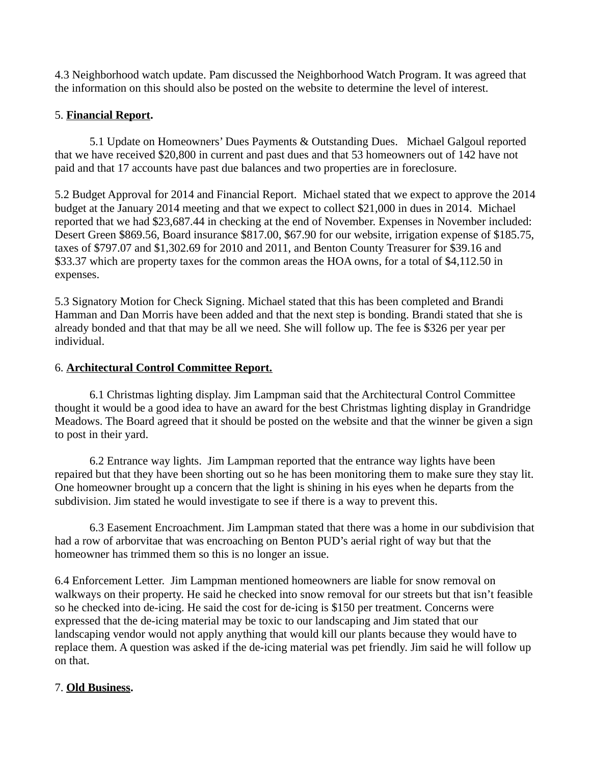4.3 Neighborhood watch update. Pam discussed the Neighborhood Watch Program. It was agreed that the information on this should also be posted on the website to determine the level of interest.

### 5. **Financial Report.**

5.1 Update on Homeowners' Dues Payments & Outstanding Dues. Michael Galgoul reported that we have received \$20,800 in current and past dues and that 53 homeowners out of 142 have not paid and that 17 accounts have past due balances and two properties are in foreclosure.

5.2 Budget Approval for 2014 and Financial Report. Michael stated that we expect to approve the 2014 budget at the January 2014 meeting and that we expect to collect \$21,000 in dues in 2014. Michael reported that we had \$23,687.44 in checking at the end of November. Expenses in November included: Desert Green \$869.56, Board insurance \$817.00, \$67.90 for our website, irrigation expense of \$185.75, taxes of \$797.07 and \$1,302.69 for 2010 and 2011, and Benton County Treasurer for \$39.16 and \$33.37 which are property taxes for the common areas the HOA owns, for a total of \$4,112.50 in expenses.

5.3 Signatory Motion for Check Signing. Michael stated that this has been completed and Brandi Hamman and Dan Morris have been added and that the next step is bonding. Brandi stated that she is already bonded and that that may be all we need. She will follow up. The fee is \$326 per year per individual.

# 6. **Architectural Control Committee Report.**

6.1 Christmas lighting display. Jim Lampman said that the Architectural Control Committee thought it would be a good idea to have an award for the best Christmas lighting display in Grandridge Meadows. The Board agreed that it should be posted on the website and that the winner be given a sign to post in their yard.

6.2 Entrance way lights. Jim Lampman reported that the entrance way lights have been repaired but that they have been shorting out so he has been monitoring them to make sure they stay lit. One homeowner brought up a concern that the light is shining in his eyes when he departs from the subdivision. Jim stated he would investigate to see if there is a way to prevent this.

6.3 Easement Encroachment. Jim Lampman stated that there was a home in our subdivision that had a row of arborvitae that was encroaching on Benton PUD's aerial right of way but that the homeowner has trimmed them so this is no longer an issue.

6.4 Enforcement Letter. Jim Lampman mentioned homeowners are liable for snow removal on walkways on their property. He said he checked into snow removal for our streets but that isn't feasible so he checked into de-icing. He said the cost for de-icing is \$150 per treatment. Concerns were expressed that the de-icing material may be toxic to our landscaping and Jim stated that our landscaping vendor would not apply anything that would kill our plants because they would have to replace them. A question was asked if the de-icing material was pet friendly. Jim said he will follow up on that.

# 7. **Old Business.**